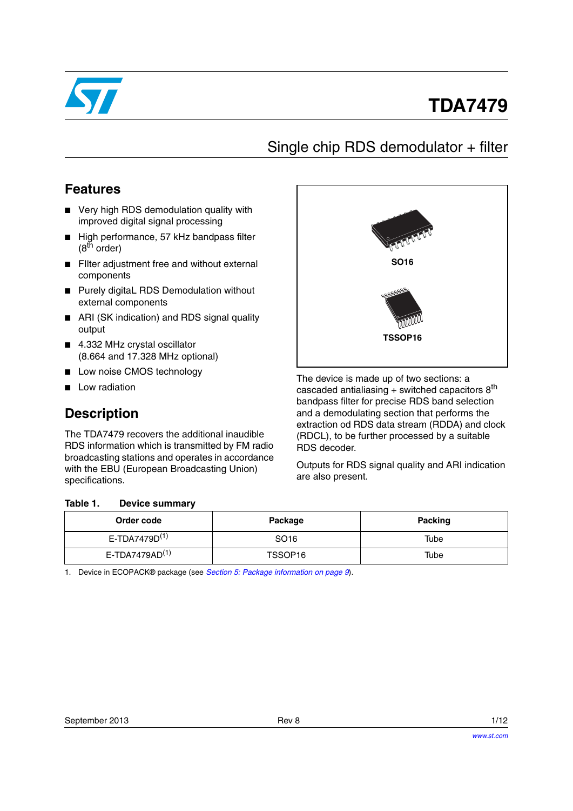

# **TDA7479**

## Single chip RDS demodulator + filter

### **Features**

- Very high RDS demodulation quality with improved digital signal processing
- High performance, 57 kHz bandpass filter  $(8^{th}$  order)
- Filter adjustment free and without external components
- Purely digitaL RDS Demodulation without external components
- ARI (SK indication) and RDS signal quality output
- 4.332 MHz crystal oscillator (8.664 and 17.328 MHz optional)
- Low noise CMOS technology
- Low radiation

### **Description**

The TDA7479 recovers the additional inaudible RDS information which is transmitted by FM radio broadcasting stations and operates in accordance with the EBU (European Broadcasting Union) specifications.

#### <span id="page-0-1"></span>Table 1. **Device summary**



The device is made up of two sections: a cascaded antialiasing  $+$  switched capacitors  $8<sup>th</sup>$ bandpass filter for precise RDS band selection and a demodulating section that performs the extraction od RDS data stream (RDDA) and clock (RDCL), to be further processed by a suitable RDS decoder.

Outputs for RDS signal quality and ARI indication are also present.

| Order code                    | Package          | <b>Packing</b> |
|-------------------------------|------------------|----------------|
| E-TDA7479 $D^{(1)}$           | SO <sub>16</sub> | Tube           |
| $E$ -TDA7479AD <sup>(1)</sup> | TSSOP16          | Tube           |

<span id="page-0-0"></span>1. Device in ECOPACK® package (see *[Section 5: Package information on page 9](#page-8-0)*).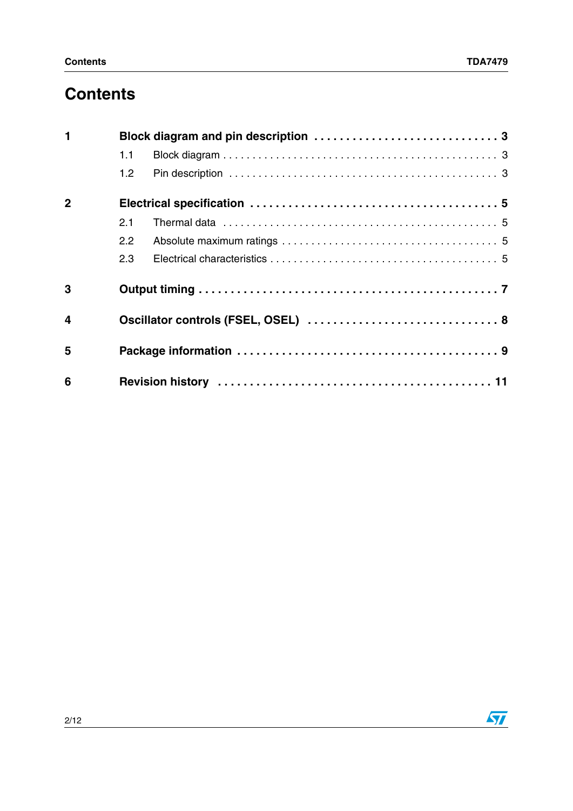# **Contents**

| $\blacksquare$          |                  |                                     |  |  |
|-------------------------|------------------|-------------------------------------|--|--|
|                         | 1.1              |                                     |  |  |
|                         | 1.2 <sub>1</sub> |                                     |  |  |
| $\overline{2}$          |                  |                                     |  |  |
|                         | 2.1              |                                     |  |  |
|                         | $2.2^{\circ}$    |                                     |  |  |
|                         | 2.3              |                                     |  |  |
| 3                       |                  |                                     |  |  |
| $\overline{\mathbf{4}}$ |                  | Oscillator controls (FSEL, OSEL)  8 |  |  |
| 5                       |                  |                                     |  |  |
| 6                       |                  |                                     |  |  |

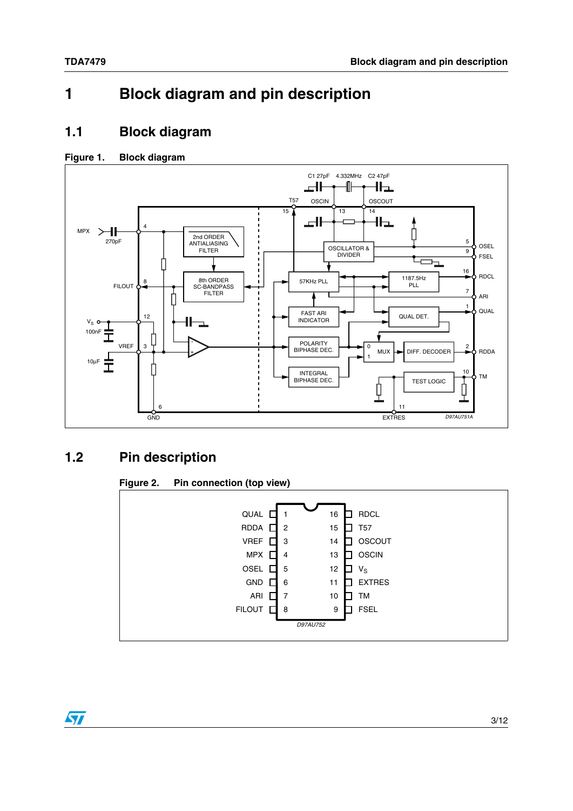## <span id="page-2-0"></span>**1 Block diagram and pin description**

#### <span id="page-2-1"></span>**1.1 Block diagram**

#### **Figure 1. Block diagram**



#### <span id="page-2-2"></span>**1.2 Pin description**

#### **Figure 2. Pin connection (top view)**



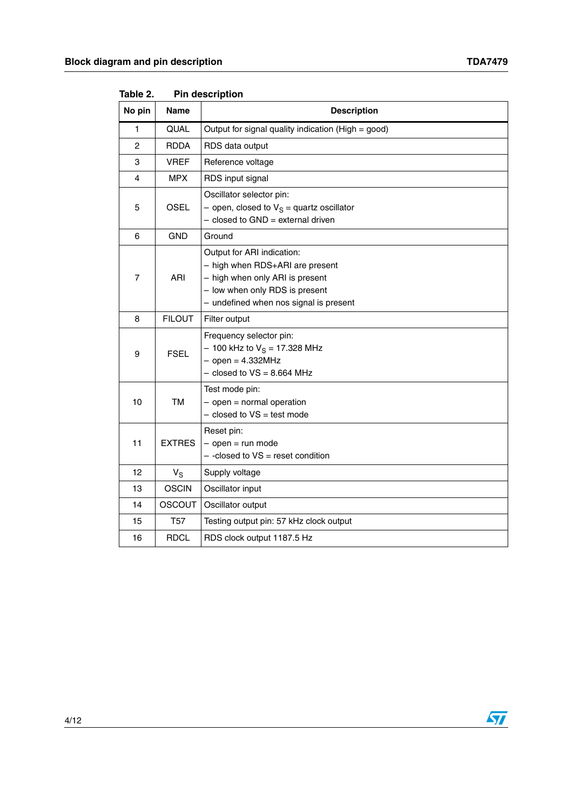|        | יייייטטטאיייי   |                                                                                                                                                                              |  |
|--------|-----------------|------------------------------------------------------------------------------------------------------------------------------------------------------------------------------|--|
| No pin | Name            | <b>Description</b>                                                                                                                                                           |  |
| 1      | QUAL            | Output for signal quality indication (High = good)                                                                                                                           |  |
| 2      | <b>RDDA</b>     | RDS data output                                                                                                                                                              |  |
| 3      | <b>VREF</b>     | Reference voltage                                                                                                                                                            |  |
| 4      | <b>MPX</b>      | RDS input signal                                                                                                                                                             |  |
| 5      | <b>OSEL</b>     | Oscillator selector pin:<br>- open, closed to $V_S$ = quartz oscillator<br>$-$ closed to GND = external driven                                                               |  |
| 6      | <b>GND</b>      | Ground                                                                                                                                                                       |  |
| 7      | ARI             | Output for ARI indication:<br>- high when RDS+ARI are present<br>- high when only ARI is present<br>- low when only RDS is present<br>- undefined when nos signal is present |  |
| 8      | <b>FILOUT</b>   | Filter output                                                                                                                                                                |  |
| 9      | <b>FSEL</b>     | Frequency selector pin:<br>$-100$ kHz to $V_S = 17.328$ MHz<br>$-$ open = 4.332MHz<br>$-$ closed to $VS = 8.664$ MHz                                                         |  |
| 10     | TM              | Test mode pin:<br>$-$ open = normal operation<br>$-$ closed to $VS =$ test mode                                                                                              |  |
| 11     | <b>EXTRES</b>   | Reset pin:<br>$-$ open = run mode<br>$-$ -closed to $VS$ = reset condition                                                                                                   |  |
| 12     | $V_S$           | Supply voltage                                                                                                                                                               |  |
| 13     | <b>OSCIN</b>    | Oscillator input                                                                                                                                                             |  |
| 14     | <b>OSCOUT</b>   | Oscillator output                                                                                                                                                            |  |
| 15     | T <sub>57</sub> | Testing output pin: 57 kHz clock output                                                                                                                                      |  |
| 16     | <b>RDCL</b>     | RDS clock output 1187.5 Hz                                                                                                                                                   |  |

Table 2. **Pin description** 

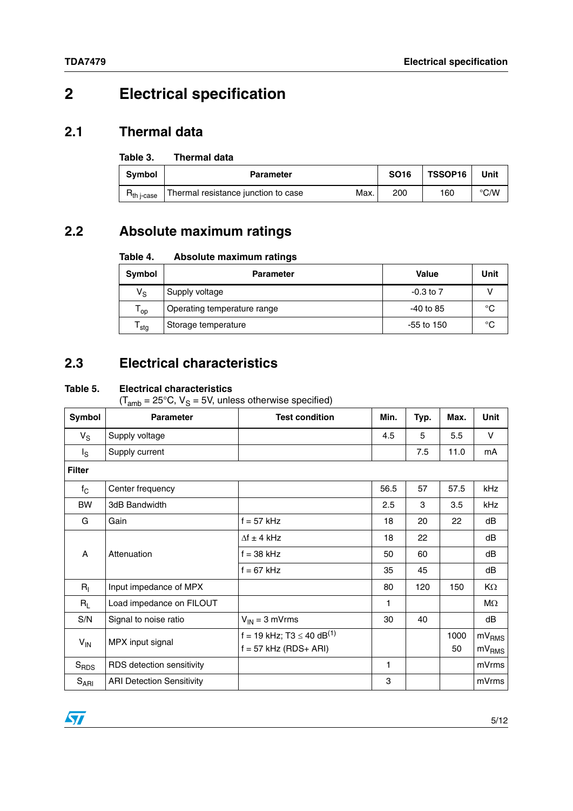## <span id="page-4-0"></span>**2 Electrical specification**

#### <span id="page-4-1"></span>**2.1 Thermal data**

#### Table 3. **Thermal data**

| <b>Symbol</b>           | <b>Parameter</b>                    |      | <b>SO16</b> | <b>TSSOP16</b> | Unit          |
|-------------------------|-------------------------------------|------|-------------|----------------|---------------|
| $R_{th\ i\text{-case}}$ | Thermal resistance junction to case | Max. | 200         | 160            | $\degree$ C/W |

### <span id="page-4-2"></span>**2.2 Absolute maximum ratings**

#### Table 4. **Absolute maximum ratings**

| Symbol                      | <b>Parameter</b>            | <b>Value</b>  | Unit |
|-----------------------------|-----------------------------|---------------|------|
| $\mathsf{V}_\mathsf{S}$     | Supply voltage              | $-0.3$ to $7$ |      |
| ' op                        | Operating temperature range | $-40$ to 85   | °C   |
| $\mathsf{T}_{\mathsf{stg}}$ | Storage temperature         | $-55$ to 150  | °C   |

### <span id="page-4-3"></span>**2.3 Electrical characteristics**

#### <span id="page-4-4"></span>**Table 5. Electrical characteristics**

 $(T<sub>amb</sub> = 25°C, V<sub>S</sub> = 5V, unless otherwise specified)$ 

| Symbol           | <b>Parameter</b>                 | <b>Test condition</b>                                                 | Min. | Typ. | Max.       | <b>Unit</b>                            |
|------------------|----------------------------------|-----------------------------------------------------------------------|------|------|------------|----------------------------------------|
| $V_S$            | Supply voltage                   |                                                                       | 4.5  | 5    | 5.5        | V                                      |
| $I_{\rm S}$      | Supply current                   |                                                                       |      | 7.5  | 11.0       | mA                                     |
| <b>Filter</b>    |                                  |                                                                       |      |      |            |                                        |
| $f_{\rm C}$      | Center frequency                 |                                                                       | 56.5 | 57   | 57.5       | kHz                                    |
| <b>BW</b>        | 3dB Bandwidth                    |                                                                       | 2.5  | 3    | 3.5        | kHz                                    |
| G                | Gain                             | $f = 57$ kHz                                                          | 18   | 20   | 22         | dB                                     |
|                  |                                  | $\Delta f \pm 4$ kHz                                                  | 18   | 22   |            | dB                                     |
| A                | Attenuation                      | $f = 38$ kHz                                                          | 50   | 60   |            | dB                                     |
|                  | $f = 67$ kHz                     | 35                                                                    | 45   |      | dB         |                                        |
| $R_{I}$          | Input impedance of MPX           |                                                                       | 80   | 120  | 150        | KΩ                                     |
| $R_L$            | Load impedance on FILOUT         |                                                                       | 1    |      |            | МΩ                                     |
| S/N              | Signal to noise ratio            | $V_{IN} = 3$ mVrms                                                    | 30   | 40   |            | dB                                     |
| $V_{IN}$         | MPX input signal                 | f = 19 kHz; T3 $\leq$ 40 dB <sup>(1)</sup><br>$f = 57$ kHz (RDS+ ARI) |      |      | 1000<br>50 | mV <sub>RMS</sub><br>mV <sub>RMS</sub> |
| S <sub>RDS</sub> | RDS detection sensitivity        |                                                                       | 1    |      |            | mVrms                                  |
| $S_{ARI}$        | <b>ARI Detection Sensitivity</b> |                                                                       | 3    |      |            | mVrms                                  |

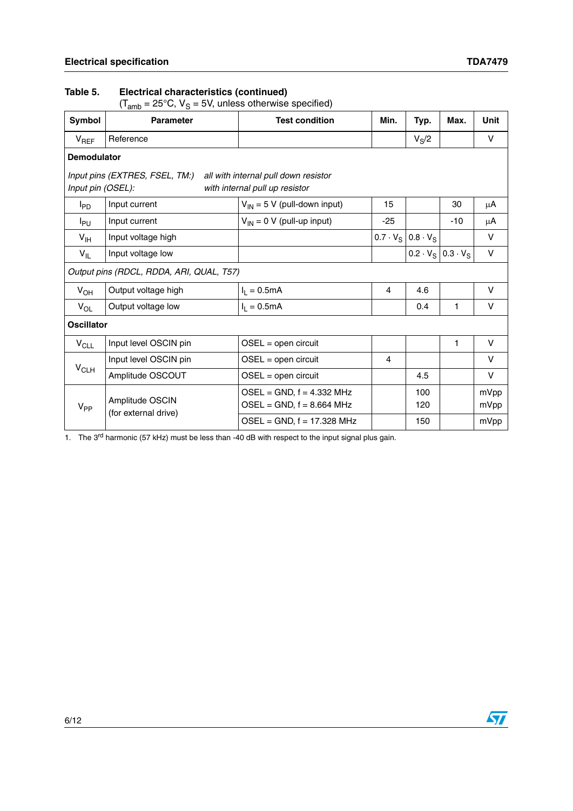#### **Table 5. Electrical characteristics (continued)**

(T<sub>amb</sub> = 25°C, V<sub>S</sub> = 5V, unless otherwise specified)

| Symbol                 | <b>Parameter</b>                         | <b>Test condition</b>                                                  | Min.           | Typ.                            | Max.            | <b>Unit</b>  |
|------------------------|------------------------------------------|------------------------------------------------------------------------|----------------|---------------------------------|-----------------|--------------|
| $V_{REF}$              | Reference                                |                                                                        |                | $V_S/2$                         |                 | V            |
| <b>Demodulator</b>     |                                          |                                                                        |                |                                 |                 |              |
| Input pin (OSEL):      | Input pins (EXTRES, FSEL, TM:)           | all with internal pull down resistor<br>with internal pull up resistor |                |                                 |                 |              |
| <b>I</b> <sub>PD</sub> | Input current                            | $V_{IN}$ = 5 V (pull-down input)                                       | 15             |                                 | 30              | μA           |
| I <sub>PU</sub>        | Input current                            | $V_{IN} = 0 V$ (pull-up input)                                         | $-25$          |                                 | $-10$           | μA           |
| $V_{\text{IH}}$        | Input voltage high                       |                                                                        |                | $0.7 \cdot V_S$ 0.8 $\cdot V_S$ |                 | V            |
| $V_{IL}$               | Input voltage low                        |                                                                        |                | $0.2 \cdot V_S$                 | $0.3 \cdot V_S$ | V            |
|                        | Output pins (RDCL, RDDA, ARI, QUAL, T57) |                                                                        |                |                                 |                 |              |
| $V_{OH}$               | Output voltage high                      | $I_1 = 0.5mA$                                                          | 4              | 4.6                             |                 | V            |
| $V_{OL}$               | Output voltage low                       | $I_1 = 0.5mA$                                                          |                | 0.4                             | 1.              | V            |
| <b>Oscillator</b>      |                                          |                                                                        |                |                                 |                 |              |
| $V_{CLL}$              | Input level OSCIN pin                    | $OSEL = open circuit$                                                  |                |                                 | 1               | V            |
|                        | Input level OSCIN pin                    | $OSEL = open circuit$                                                  | $\overline{4}$ |                                 |                 | V            |
| $V_{CLH}$              | Amplitude OSCOUT                         | $OSEL = open circuit$                                                  |                | 4.5                             |                 | V            |
| $V_{PP}$               | Amplitude OSCIN<br>(for external drive)  | $OSEL = GND$ , $f = 4.332$ MHz<br>$OSEL = GND$ , $f = 8.664$ MHz       |                | 100<br>120                      |                 | mVpp<br>mVpp |
|                        |                                          | $OSEL = GND$ , $f = 17.328$ MHz                                        |                | 150                             |                 | mVpp         |

1. The 3<sup>rd</sup> harmonic (57 kHz) must be less than -40 dB with respect to the input signal plus gain.

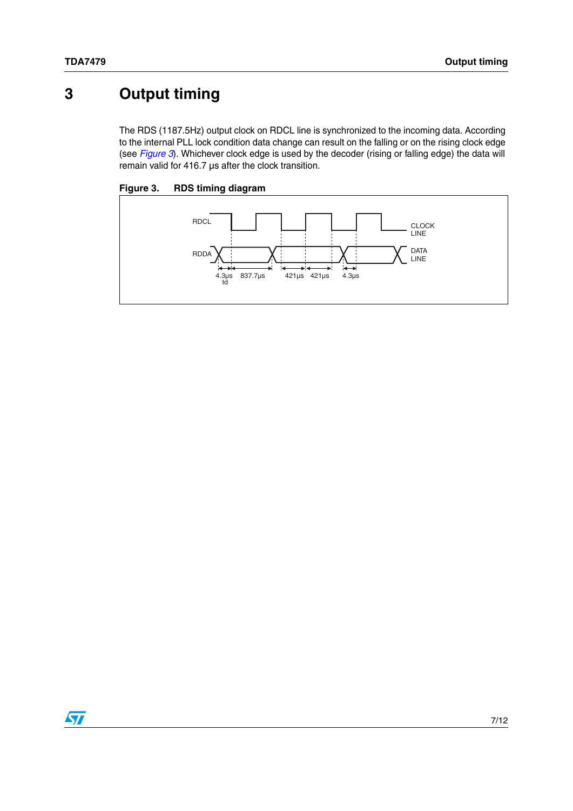## <span id="page-6-0"></span>**3 Output timing**

The RDS (1187.5Hz) output clock on RDCL line is synchronized to the incoming data. According to the internal PLL lock condition data change can result on the falling or on the rising clock edge (see *[Figure 3](#page-6-1)*). Whichever clock edge is used by the decoder (rising or falling edge) the data will remain valid for 416.7 µs after the clock transition.

<span id="page-6-1"></span>



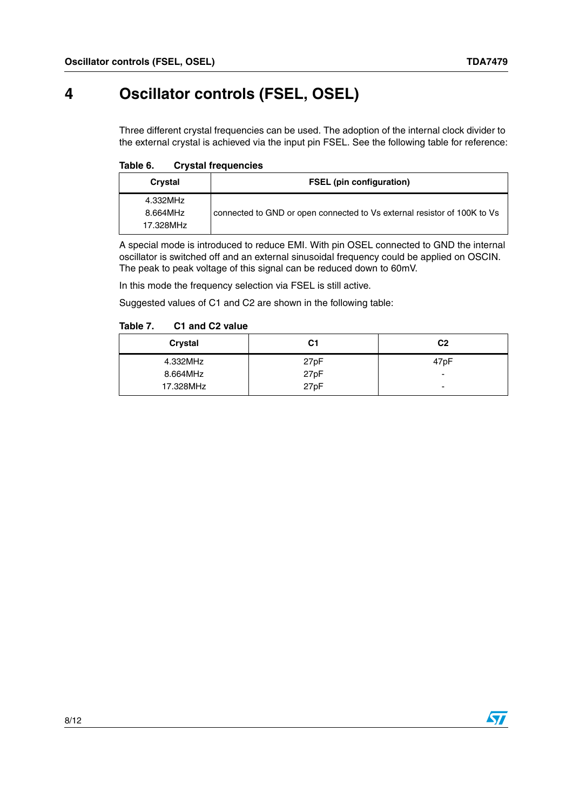## <span id="page-7-0"></span>**4 Oscillator controls (FSEL, OSEL)**

Three different crystal frequencies can be used. The adoption of the internal clock divider to the external crystal is achieved via the input pin FSEL. See the following table for reference:

Table 6. **Crystal frequencies** 

| Crystal                           | <b>FSEL</b> (pin configuration)                                          |
|-----------------------------------|--------------------------------------------------------------------------|
| 4.332MHz<br>8.664MHz<br>17.328MHz | connected to GND or open connected to Vs external resistor of 100K to Vs |

A special mode is introduced to reduce EMI. With pin OSEL connected to GND the internal oscillator is switched off and an external sinusoidal frequency could be applied on OSCIN. The peak to peak voltage of this signal can be reduced down to 60mV.

In this mode the frequency selection via FSEL is still active.

Suggested values of C1 and C2 are shown in the following table:

#### Table 7. **C1 and C2 value**

| <b>Crystal</b> | C1   | C <sub>2</sub> |
|----------------|------|----------------|
| 4.332MHz       | 27pF | 47pF           |
| 8.664MHz       | 27pF | -              |
| 17.328MHz      | 27pF | -              |

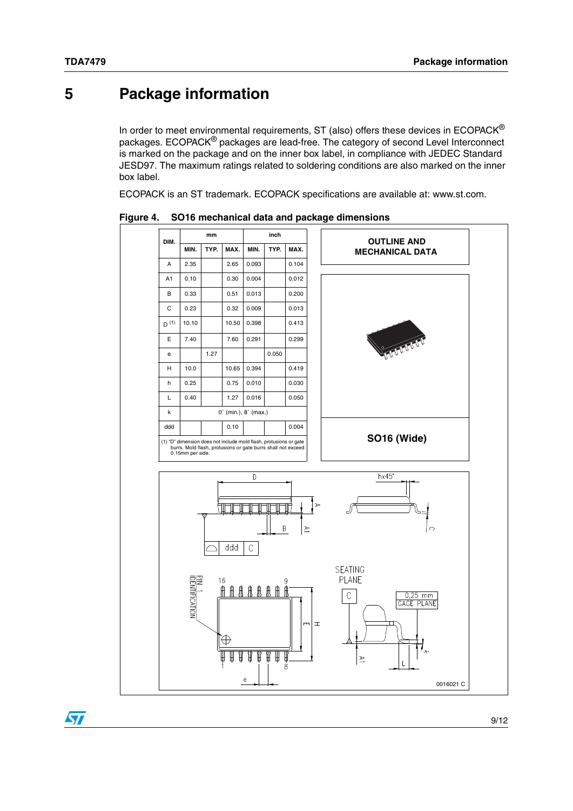## <span id="page-8-0"></span>**5 Package information**

In order to meet environmental requirements, ST (also) offers these devices in  $ECOPACK^{\circledcirc}$ packages. ECOPACK® packages are lead-free. The category of second Level Interconnect is marked on the package and on the inner box label, in compliance with JEDEC Standard JESD97. The maximum ratings related to soldering conditions are also marked on the inner box label.

ECOPACK is an ST trademark. ECOPACK specifications are available at: www.st.com.



**Figure 4. SO16 mechanical data and package dimensions**

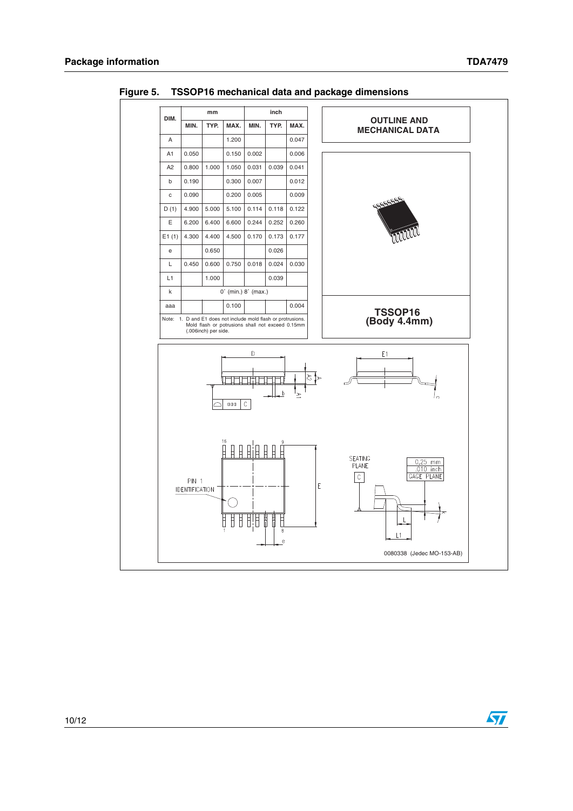

**Figure 5. TSSOP16 mechanical data and package dimensions**

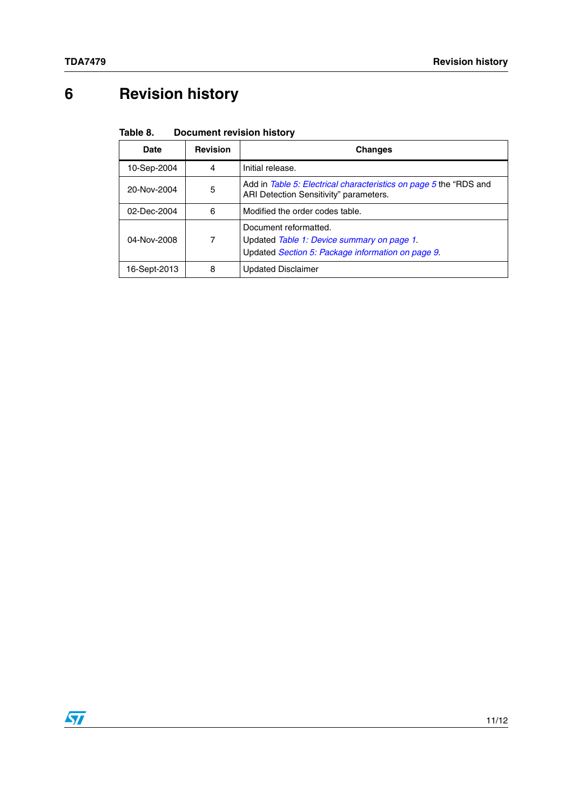# <span id="page-10-0"></span>**6 Revision history**

#### Table 8. **Document revision history**

| Date         | <b>Revision</b> | <b>Changes</b>                                                                                                           |
|--------------|-----------------|--------------------------------------------------------------------------------------------------------------------------|
| 10-Sep-2004  | 4               | Initial release.                                                                                                         |
| 20-Nov-2004  | 5               | Add in Table 5: Electrical characteristics on page 5 the "RDS and<br>ARI Detection Sensitivity" parameters.              |
| 02-Dec-2004  | 6               | Modified the order codes table.                                                                                          |
| 04-Nov-2008  | 7               | Document reformatted.<br>Updated Table 1: Device summary on page 1.<br>Updated Section 5: Package information on page 9. |
| 16-Sept-2013 | 8               | <b>Updated Disclaimer</b>                                                                                                |